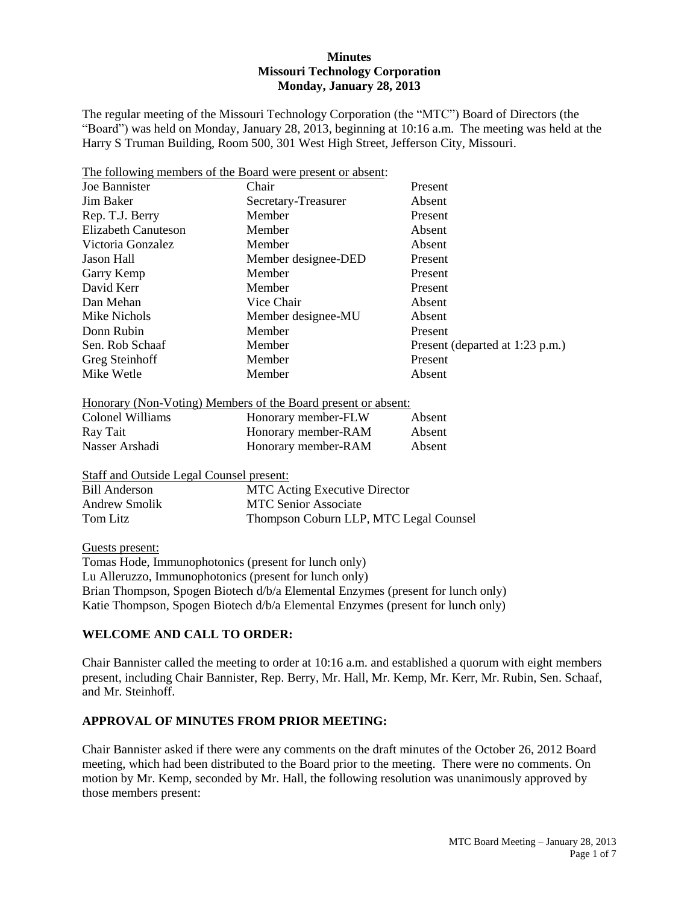#### **Minutes Missouri Technology Corporation Monday, January 28, 2013**

The regular meeting of the Missouri Technology Corporation (the "MTC") Board of Directors (the "Board") was held on Monday, January 28, 2013, beginning at 10:16 a.m. The meeting was held at the Harry S Truman Building, Room 500, 301 West High Street, Jefferson City, Missouri.

| The following members of the Board were present or absent: |                     |                                 |
|------------------------------------------------------------|---------------------|---------------------------------|
| Joe Bannister                                              | Chair               | Present                         |
| Jim Baker                                                  | Secretary-Treasurer | Absent                          |
| Rep. T.J. Berry                                            | Member              | Present                         |
| Elizabeth Canuteson                                        | Member              | Absent                          |
| Victoria Gonzalez                                          | Member              | Absent                          |
| Jason Hall                                                 | Member designee-DED | Present                         |
| Garry Kemp                                                 | Member              | Present                         |
| David Kerr                                                 | Member              | Present                         |
| Dan Mehan                                                  | Vice Chair          | Absent                          |
| Mike Nichols                                               | Member designee-MU  | Absent                          |
| Donn Rubin                                                 | Member              | Present                         |
| Sen. Rob Schaaf                                            | Member              | Present (departed at 1:23 p.m.) |
| Greg Steinhoff                                             | Member              | Present                         |
| Mike Wetle                                                 | Member              | Absent                          |

|  |  | Honorary (Non-Voting) Members of the Board present or absent: |  |
|--|--|---------------------------------------------------------------|--|
|  |  |                                                               |  |

| Colonel Williams | Honorary member-FLW | Absent |
|------------------|---------------------|--------|
| Ray Tait         | Honorary member-RAM | Absent |
| Nasser Arshadi   | Honorary member-RAM | Absent |

Staff and Outside Legal Counsel present:

| <b>Bill Anderson</b> | <b>MTC</b> Acting Executive Director   |
|----------------------|----------------------------------------|
| Andrew Smolik        | MTC Senior Associate                   |
| Tom Litz             | Thompson Coburn LLP, MTC Legal Counsel |

Guests present:

Tomas Hode, Immunophotonics (present for lunch only) Lu Alleruzzo, Immunophotonics (present for lunch only) Brian Thompson, Spogen Biotech d/b/a Elemental Enzymes (present for lunch only) Katie Thompson, Spogen Biotech d/b/a Elemental Enzymes (present for lunch only)

# **WELCOME AND CALL TO ORDER:**

Chair Bannister called the meeting to order at 10:16 a.m. and established a quorum with eight members present, including Chair Bannister, Rep. Berry, Mr. Hall, Mr. Kemp, Mr. Kerr, Mr. Rubin, Sen. Schaaf, and Mr. Steinhoff.

# **APPROVAL OF MINUTES FROM PRIOR MEETING:**

Chair Bannister asked if there were any comments on the draft minutes of the October 26, 2012 Board meeting, which had been distributed to the Board prior to the meeting. There were no comments. On motion by Mr. Kemp, seconded by Mr. Hall, the following resolution was unanimously approved by those members present: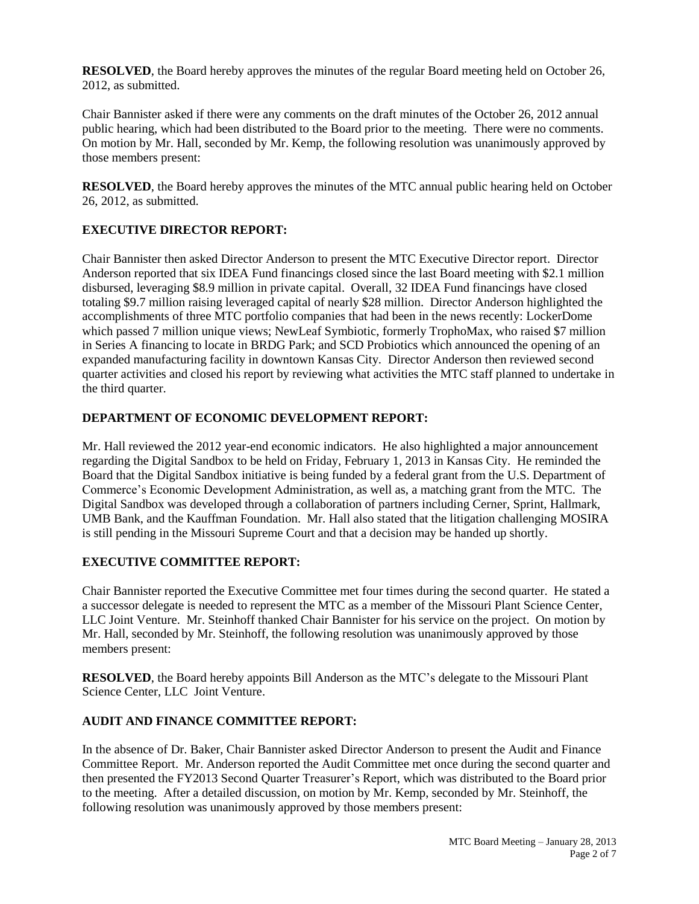**RESOLVED**, the Board hereby approves the minutes of the regular Board meeting held on October 26, 2012, as submitted.

Chair Bannister asked if there were any comments on the draft minutes of the October 26, 2012 annual public hearing, which had been distributed to the Board prior to the meeting. There were no comments. On motion by Mr. Hall, seconded by Mr. Kemp, the following resolution was unanimously approved by those members present:

**RESOLVED**, the Board hereby approves the minutes of the MTC annual public hearing held on October 26, 2012, as submitted.

# **EXECUTIVE DIRECTOR REPORT:**

Chair Bannister then asked Director Anderson to present the MTC Executive Director report. Director Anderson reported that six IDEA Fund financings closed since the last Board meeting with \$2.1 million disbursed, leveraging \$8.9 million in private capital. Overall, 32 IDEA Fund financings have closed totaling \$9.7 million raising leveraged capital of nearly \$28 million. Director Anderson highlighted the accomplishments of three MTC portfolio companies that had been in the news recently: LockerDome which passed 7 million unique views; NewLeaf Symbiotic, formerly TrophoMax, who raised \$7 million in Series A financing to locate in BRDG Park; and SCD Probiotics which announced the opening of an expanded manufacturing facility in downtown Kansas City. Director Anderson then reviewed second quarter activities and closed his report by reviewing what activities the MTC staff planned to undertake in the third quarter.

# **DEPARTMENT OF ECONOMIC DEVELOPMENT REPORT:**

Mr. Hall reviewed the 2012 year-end economic indicators. He also highlighted a major announcement regarding the Digital Sandbox to be held on Friday, February 1, 2013 in Kansas City. He reminded the Board that the Digital Sandbox initiative is being funded by a federal grant from the U.S. Department of Commerce's Economic Development Administration, as well as, a matching grant from the MTC. The Digital Sandbox was developed through a collaboration of partners including Cerner, Sprint, Hallmark, UMB Bank, and the Kauffman Foundation. Mr. Hall also stated that the litigation challenging MOSIRA is still pending in the Missouri Supreme Court and that a decision may be handed up shortly.

# **EXECUTIVE COMMITTEE REPORT:**

Chair Bannister reported the Executive Committee met four times during the second quarter. He stated a a successor delegate is needed to represent the MTC as a member of the Missouri Plant Science Center, LLC Joint Venture. Mr. Steinhoff thanked Chair Bannister for his service on the project. On motion by Mr. Hall, seconded by Mr. Steinhoff, the following resolution was unanimously approved by those members present:

**RESOLVED**, the Board hereby appoints Bill Anderson as the MTC's delegate to the Missouri Plant Science Center, LLC Joint Venture.

# **AUDIT AND FINANCE COMMITTEE REPORT:**

In the absence of Dr. Baker, Chair Bannister asked Director Anderson to present the Audit and Finance Committee Report. Mr. Anderson reported the Audit Committee met once during the second quarter and then presented the FY2013 Second Quarter Treasurer's Report, which was distributed to the Board prior to the meeting. After a detailed discussion, on motion by Mr. Kemp, seconded by Mr. Steinhoff, the following resolution was unanimously approved by those members present: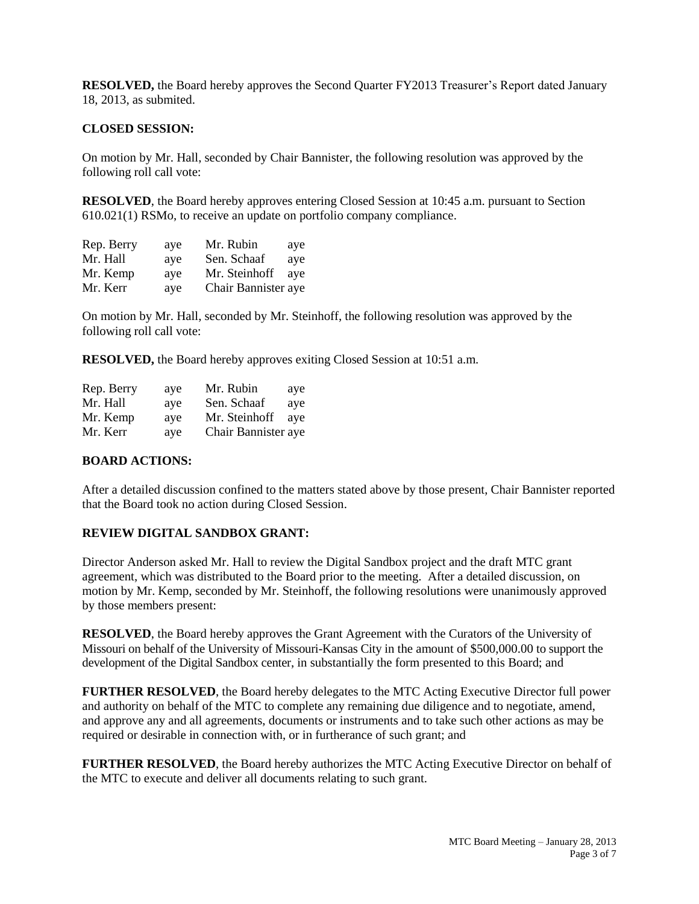**RESOLVED,** the Board hereby approves the Second Quarter FY2013 Treasurer's Report dated January 18, 2013, as submited.

#### **CLOSED SESSION:**

On motion by Mr. Hall, seconded by Chair Bannister, the following resolution was approved by the following roll call vote:

**RESOLVED**, the Board hereby approves entering Closed Session at 10:45 a.m. pursuant to Section 610.021(1) RSMo, to receive an update on portfolio company compliance.

| Rep. Berry | ave | Mr. Rubin           | aye |
|------------|-----|---------------------|-----|
| Mr. Hall   | ave | Sen. Schaaf         | aye |
| Mr. Kemp   | ave | Mr. Steinhoff       | ave |
| Mr. Kerr   | aye | Chair Bannister aye |     |

On motion by Mr. Hall, seconded by Mr. Steinhoff, the following resolution was approved by the following roll call vote:

**RESOLVED,** the Board hereby approves exiting Closed Session at 10:51 a.m.

| Rep. Berry | aye | Mr. Rubin           | aye |
|------------|-----|---------------------|-----|
| Mr. Hall   | ave | Sen. Schaaf         | aye |
| Mr. Kemp   | ave | Mr. Steinhoff       | ave |
| Mr. Kerr   | aye | Chair Bannister aye |     |

#### **BOARD ACTIONS:**

After a detailed discussion confined to the matters stated above by those present, Chair Bannister reported that the Board took no action during Closed Session.

#### **REVIEW DIGITAL SANDBOX GRANT:**

Director Anderson asked Mr. Hall to review the Digital Sandbox project and the draft MTC grant agreement, which was distributed to the Board prior to the meeting. After a detailed discussion, on motion by Mr. Kemp, seconded by Mr. Steinhoff, the following resolutions were unanimously approved by those members present:

**RESOLVED**, the Board hereby approves the Grant Agreement with the Curators of the University of Missouri on behalf of the University of Missouri-Kansas City in the amount of \$500,000.00 to support the development of the Digital Sandbox center, in substantially the form presented to this Board; and

**FURTHER RESOLVED**, the Board hereby delegates to the MTC Acting Executive Director full power and authority on behalf of the MTC to complete any remaining due diligence and to negotiate, amend, and approve any and all agreements, documents or instruments and to take such other actions as may be required or desirable in connection with, or in furtherance of such grant; and

**FURTHER RESOLVED**, the Board hereby authorizes the MTC Acting Executive Director on behalf of the MTC to execute and deliver all documents relating to such grant.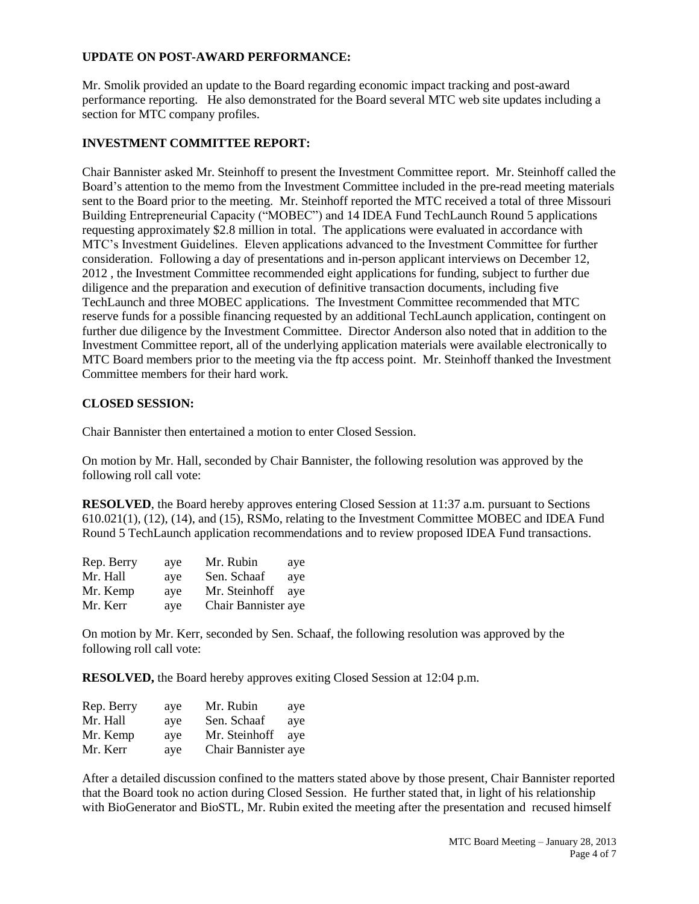# **UPDATE ON POST-AWARD PERFORMANCE:**

Mr. Smolik provided an update to the Board regarding economic impact tracking and post-award performance reporting. He also demonstrated for the Board several MTC web site updates including a section for MTC company profiles.

# **INVESTMENT COMMITTEE REPORT:**

Chair Bannister asked Mr. Steinhoff to present the Investment Committee report. Mr. Steinhoff called the Board's attention to the memo from the Investment Committee included in the pre-read meeting materials sent to the Board prior to the meeting. Mr. Steinhoff reported the MTC received a total of three Missouri Building Entrepreneurial Capacity ("MOBEC") and 14 IDEA Fund TechLaunch Round 5 applications requesting approximately \$2.8 million in total. The applications were evaluated in accordance with MTC's Investment Guidelines. Eleven applications advanced to the Investment Committee for further consideration. Following a day of presentations and in-person applicant interviews on December 12, 2012 , the Investment Committee recommended eight applications for funding, subject to further due diligence and the preparation and execution of definitive transaction documents, including five TechLaunch and three MOBEC applications. The Investment Committee recommended that MTC reserve funds for a possible financing requested by an additional TechLaunch application, contingent on further due diligence by the Investment Committee. Director Anderson also noted that in addition to the Investment Committee report, all of the underlying application materials were available electronically to MTC Board members prior to the meeting via the ftp access point. Mr. Steinhoff thanked the Investment Committee members for their hard work.

# **CLOSED SESSION:**

Chair Bannister then entertained a motion to enter Closed Session.

On motion by Mr. Hall, seconded by Chair Bannister, the following resolution was approved by the following roll call vote:

**RESOLVED**, the Board hereby approves entering Closed Session at 11:37 a.m. pursuant to Sections 610.021(1), (12), (14), and (15), RSMo, relating to the Investment Committee MOBEC and IDEA Fund Round 5 TechLaunch application recommendations and to review proposed IDEA Fund transactions.

| Rep. Berry | aye | Mr. Rubin           | aye |
|------------|-----|---------------------|-----|
| Mr. Hall   | ave | Sen. Schaaf         | ave |
| Mr. Kemp   | ave | Mr. Steinhoff       | ave |
| Mr. Kerr   | aye | Chair Bannister aye |     |

On motion by Mr. Kerr, seconded by Sen. Schaaf, the following resolution was approved by the following roll call vote:

**RESOLVED,** the Board hereby approves exiting Closed Session at 12:04 p.m.

| Rep. Berry | aye | Mr. Rubin           | aye |
|------------|-----|---------------------|-----|
| Mr. Hall   | ave | Sen. Schaaf         | aye |
| Mr. Kemp   | ave | Mr. Steinhoff       | ave |
| Mr. Kerr   | aye | Chair Bannister aye |     |

After a detailed discussion confined to the matters stated above by those present, Chair Bannister reported that the Board took no action during Closed Session. He further stated that, in light of his relationship with BioGenerator and BioSTL, Mr. Rubin exited the meeting after the presentation and recused himself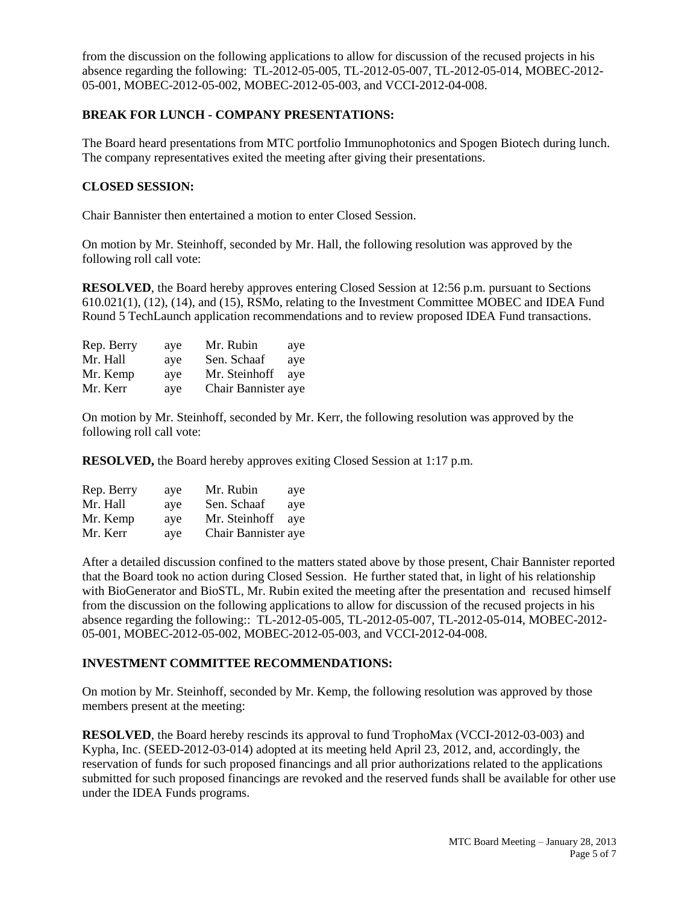from the discussion on the following applications to allow for discussion of the recused projects in his absence regarding the following: TL-2012-05-005, TL-2012-05-007, TL-2012-05-014, MOBEC-2012- 05-001, MOBEC-2012-05-002, MOBEC-2012-05-003, and VCCI-2012-04-008.

# **BREAK FOR LUNCH - COMPANY PRESENTATIONS:**

The Board heard presentations from MTC portfolio Immunophotonics and Spogen Biotech during lunch. The company representatives exited the meeting after giving their presentations.

# **CLOSED SESSION:**

Chair Bannister then entertained a motion to enter Closed Session.

On motion by Mr. Steinhoff, seconded by Mr. Hall, the following resolution was approved by the following roll call vote:

**RESOLVED**, the Board hereby approves entering Closed Session at 12:56 p.m. pursuant to Sections 610.021(1), (12), (14), and (15), RSMo, relating to the Investment Committee MOBEC and IDEA Fund Round 5 TechLaunch application recommendations and to review proposed IDEA Fund transactions.

| Rep. Berry | aye | Mr. Rubin           | aye |
|------------|-----|---------------------|-----|
| Mr. Hall   | ave | Sen. Schaaf         | aye |
| Mr. Kemp   | ave | Mr. Steinhoff       | ave |
| Mr. Kerr   | ave | Chair Bannister aye |     |

On motion by Mr. Steinhoff, seconded by Mr. Kerr, the following resolution was approved by the following roll call vote:

**RESOLVED,** the Board hereby approves exiting Closed Session at 1:17 p.m.

| Rep. Berry | aye | Mr. Rubin           | aye |
|------------|-----|---------------------|-----|
| Mr. Hall   | ave | Sen. Schaaf         | ave |
| Mr. Kemp   | ave | Mr. Steinhoff       | ave |
| Mr. Kerr   | aye | Chair Bannister aye |     |

After a detailed discussion confined to the matters stated above by those present, Chair Bannister reported that the Board took no action during Closed Session. He further stated that, in light of his relationship with BioGenerator and BioSTL, Mr. Rubin exited the meeting after the presentation and recused himself from the discussion on the following applications to allow for discussion of the recused projects in his absence regarding the following:: TL-2012-05-005, TL-2012-05-007, TL-2012-05-014, MOBEC-2012- 05-001, MOBEC-2012-05-002, MOBEC-2012-05-003, and VCCI-2012-04-008.

# **INVESTMENT COMMITTEE RECOMMENDATIONS:**

On motion by Mr. Steinhoff, seconded by Mr. Kemp, the following resolution was approved by those members present at the meeting:

**RESOLVED**, the Board hereby rescinds its approval to fund TrophoMax (VCCI-2012-03-003) and Kypha, Inc. (SEED-2012-03-014) adopted at its meeting held April 23, 2012, and, accordingly, the reservation of funds for such proposed financings and all prior authorizations related to the applications submitted for such proposed financings are revoked and the reserved funds shall be available for other use under the IDEA Funds programs.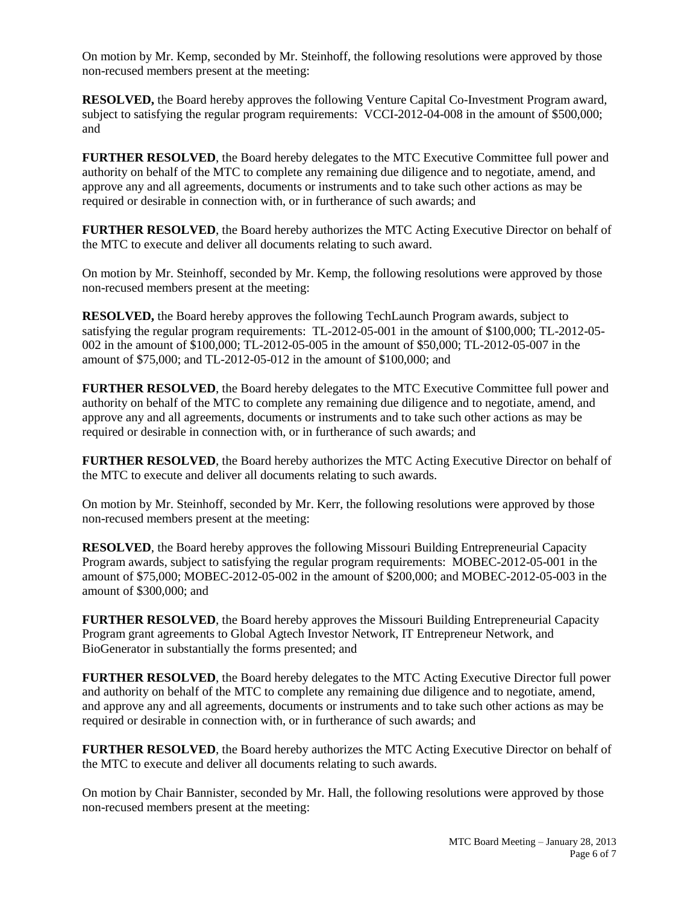On motion by Mr. Kemp, seconded by Mr. Steinhoff, the following resolutions were approved by those non-recused members present at the meeting:

**RESOLVED,** the Board hereby approves the following Venture Capital Co-Investment Program award, subject to satisfying the regular program requirements: VCCI-2012-04-008 in the amount of \$500,000; and

**FURTHER RESOLVED**, the Board hereby delegates to the MTC Executive Committee full power and authority on behalf of the MTC to complete any remaining due diligence and to negotiate, amend, and approve any and all agreements, documents or instruments and to take such other actions as may be required or desirable in connection with, or in furtherance of such awards; and

**FURTHER RESOLVED**, the Board hereby authorizes the MTC Acting Executive Director on behalf of the MTC to execute and deliver all documents relating to such award.

On motion by Mr. Steinhoff, seconded by Mr. Kemp, the following resolutions were approved by those non-recused members present at the meeting:

**RESOLVED,** the Board hereby approves the following TechLaunch Program awards, subject to satisfying the regular program requirements: TL-2012-05-001 in the amount of \$100,000; TL-2012-05- 002 in the amount of \$100,000; TL-2012-05-005 in the amount of \$50,000; TL-2012-05-007 in the amount of \$75,000; and TL-2012-05-012 in the amount of \$100,000; and

**FURTHER RESOLVED**, the Board hereby delegates to the MTC Executive Committee full power and authority on behalf of the MTC to complete any remaining due diligence and to negotiate, amend, and approve any and all agreements, documents or instruments and to take such other actions as may be required or desirable in connection with, or in furtherance of such awards; and

**FURTHER RESOLVED**, the Board hereby authorizes the MTC Acting Executive Director on behalf of the MTC to execute and deliver all documents relating to such awards.

On motion by Mr. Steinhoff, seconded by Mr. Kerr, the following resolutions were approved by those non-recused members present at the meeting:

**RESOLVED**, the Board hereby approves the following Missouri Building Entrepreneurial Capacity Program awards, subject to satisfying the regular program requirements: MOBEC-2012-05-001 in the amount of \$75,000; MOBEC-2012-05-002 in the amount of \$200,000; and MOBEC-2012-05-003 in the amount of \$300,000; and

**FURTHER RESOLVED**, the Board hereby approves the Missouri Building Entrepreneurial Capacity Program grant agreements to Global Agtech Investor Network, IT Entrepreneur Network, and BioGenerator in substantially the forms presented; and

**FURTHER RESOLVED**, the Board hereby delegates to the MTC Acting Executive Director full power and authority on behalf of the MTC to complete any remaining due diligence and to negotiate, amend, and approve any and all agreements, documents or instruments and to take such other actions as may be required or desirable in connection with, or in furtherance of such awards; and

**FURTHER RESOLVED**, the Board hereby authorizes the MTC Acting Executive Director on behalf of the MTC to execute and deliver all documents relating to such awards.

On motion by Chair Bannister, seconded by Mr. Hall, the following resolutions were approved by those non-recused members present at the meeting: